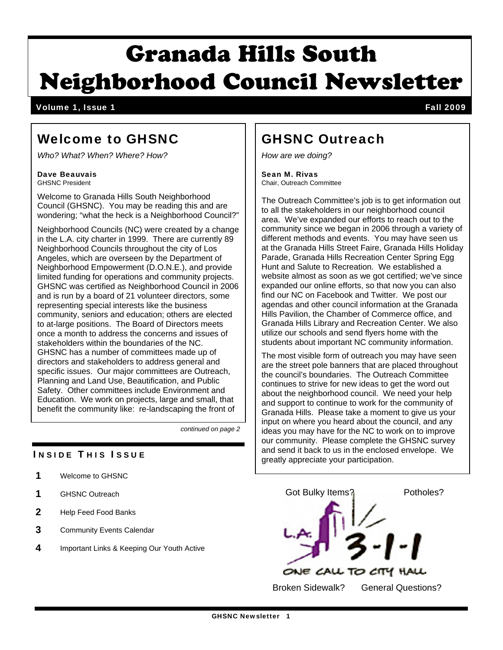# Granada Hills South Neighborhood Council Newsletter

Volume 1, Issue 1 Fall 2009

# Welcome to GHSNC

*Who? What? When? Where? How?* 

#### Dave Beauvais GHSNC President

Welcome to Granada Hills South Neighborhood Council (GHSNC). You may be reading this and are wondering; "what the heck is a Neighborhood Council?"

Neighborhood Councils (NC) were created by a change in the L.A. city charter in 1999. There are currently 89 Neighborhood Councils throughout the city of Los Angeles, which are overseen by the Department of Neighborhood Empowerment (D.O.N.E.), and provide limited funding for operations and community projects. GHSNC was certified as Neighborhood Council in 2006 and is run by a board of 21 volunteer directors, some representing special interests like the business community, seniors and education; others are elected to at-large positions. The Board of Directors meets once a month to address the concerns and issues of stakeholders within the boundaries of the NC. GHSNC has a number of committees made up of directors and stakeholders to address general and specific issues. Our major committees are Outreach, Planning and Land Use, Beautification, and Public Safety. Other committees include Environment and Education. We work on projects, large and small, that benefit the community like: re-landscaping the front of

*continued on page 2* 

### **INSIDE THIS ISSUE**

- 1 Welcome to GHSNC
- 1 GHSNC Outreach
- 2 Help Feed Food Banks
- 3 Community Events Calendar
- 4 Important Links & Keeping Our Youth Active

### GHSNC Outreach

*How are we doing?* 

Sean M. Rivas Chair, Outreach Committee

The Outreach Committee's job is to get information out to all the stakeholders in our neighborhood council area. We've expanded our efforts to reach out to the community since we began in 2006 through a variety of different methods and events. You may have seen us at the Granada Hills Street Faire, Granada Hills Holiday Parade, Granada Hills Recreation Center Spring Egg Hunt and Salute to Recreation. We established a website almost as soon as we got certified; we've since expanded our online efforts, so that now you can also find our NC on Facebook and Twitter. We post our agendas and other council information at the Granada Hills Pavilion, the Chamber of Commerce office, and Granada Hills Library and Recreation Center. We also utilize our schools and send flyers home with the students about important NC community information.

The most visible form of outreach you may have seen are the street pole banners that are placed throughout the council's boundaries. The Outreach Committee continues to strive for new ideas to get the word out about the neighborhood council. We need your help and support to continue to work for the community of Granada Hills. Please take a moment to give us your input on where you heard about the council, and any ideas you may have for the NC to work on to improve our community. Please complete the GHSNC survey and send it back to us in the enclosed envelope. We greatly appreciate your participation.

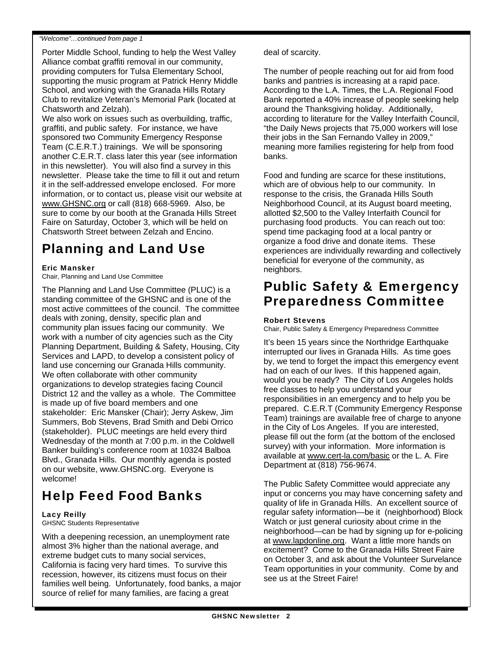#### *"Welcome"…continued from page 1*

Porter Middle School, funding to help the West Valley Alliance combat graffiti removal in our community, providing computers for Tulsa Elementary School, supporting the music program at Patrick Henry Middle School, and working with the Granada Hills Rotary Club to revitalize Veteran's Memorial Park (located at Chatsworth and Zelzah).

We also work on issues such as overbuilding, traffic, graffiti, and public safety. For instance, we have sponsored two Community Emergency Response Team (C.E.R.T.) trainings. We will be sponsoring another C.E.R.T. class later this year (see information in this newsletter). You will also find a survey in this newsletter. Please take the time to fill it out and return it in the self-addressed envelope enclosed. For more information, or to contact us, please visit our website at www.GHSNC.org or call (818) 668-5969. Also, be sure to come by our booth at the Granada Hills Street Faire on Saturday, October 3, which will be held on Chatsworth Street between Zelzah and Encino.

### Planning and Land Use

#### Eric Mansker

Chair, Planning and Land Use Committee

The Planning and Land Use Committee (PLUC) is a standing committee of the GHSNC and is one of the most active committees of the council. The committee deals with zoning, density, specific plan and community plan issues facing our community. We work with a number of city agencies such as the City Planning Department, Building & Safety, Housing, City Services and LAPD, to develop a consistent policy of land use concerning our Granada Hills community. We often collaborate with other community organizations to develop strategies facing Council District 12 and the valley as a whole. The Committee is made up of five board members and one stakeholder: Eric Mansker (Chair); Jerry Askew, Jim Summers, Bob Stevens, Brad Smith and Debi Orrico (stakeholder). PLUC meetings are held every third Wednesday of the month at 7:00 p.m. in the Coldwell Banker building's conference room at 10324 Balboa Blvd., Granada Hills. Our monthly agenda is posted on our website, www.GHSNC.org. Everyone is welcome!

# Help Feed Food Banks

#### Lacy Reilly

GHSNC Students Representative

With a deepening recession, an unemployment rate almost 3% higher than the national average, and extreme budget cuts to many social services, California is facing very hard times. To survive this recession, however, its citizens must focus on their families well being. Unfortunately, food banks, a major source of relief for many families, are facing a great

deal of scarcity.

The number of people reaching out for aid from food banks and pantries is increasing at a rapid pace. According to the L.A. Times, the L.A. Regional Food Bank reported a 40% increase of people seeking help around the Thanksgiving holiday. Additionally, according to literature for the Valley Interfaith Council, "the Daily News projects that 75,000 workers will lose their jobs in the San Fernando Valley in 2009," meaning more families registering for help from food banks.

Food and funding are scarce for these institutions, which are of obvious help to our community. In response to the crisis, the Granada Hills South Neighborhood Council, at its August board meeting, allotted \$2,500 to the Valley Interfaith Council for purchasing food products. You can reach out too: spend time packaging food at a local pantry or organize a food drive and donate items. These experiences are individually rewarding and collectively beneficial for everyone of the community, as neighbors.

### Public Safety & Emergency Preparedness Committee

#### Robert Stevens

Chair, Public Safety & Emergency Preparedness Committee

It's been 15 years since the Northridge Earthquake interrupted our lives in Granada Hills. As time goes by, we tend to forget the impact this emergency event had on each of our lives. If this happened again, would you be ready? The City of Los Angeles holds free classes to help you understand your responsibilities in an emergency and to help you be prepared. C.E.R.T (Community Emergency Response Team) trainings are available free of charge to anyone in the City of Los Angeles. If you are interested, please fill out the form (at the bottom of the enclosed survey) with your information. More information is available at www.cert-la.com/basic or the L. A. Fire Department at (818) 756-9674.

The Public Safety Committee would appreciate any input or concerns you may have concerning safety and quality of life in Granada Hills. An excellent source of regular safety information—be it (neighborhood) Block Watch or just general curiosity about crime in the neighborhood—can be had by signing up for e-policing at www.lapdonline.org. Want a little more hands on excitement? Come to the Granada Hills Street Faire on October 3, and ask about the Volunteer Survelance Team opportunities in your community. Come by and see us at the Street Faire!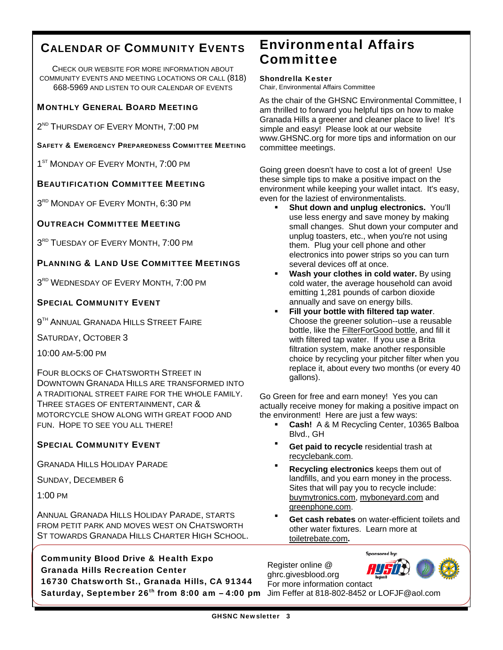### CALENDAR OF COMMUNITY EVENTS

CHECK OUR WEBSITE FOR MORE INFORMATION ABOUT COMMUNITY EVENTS AND MEETING LOCATIONS OR CALL (818) 668-5969 AND LISTEN TO OUR CALENDAR OF EVENTS

#### **MONTHLY GENERAL BOARD MEETING**

2<sup>ND</sup> THURSDAY OF EVERY MONTH, 7:00 PM

SAFETY & EMERGENCY PREPAREDNESS COMMITTEE MEETING

1<sup>ST</sup> MONDAY OF EVERY MONTH, 7:00 PM

#### BEAUTIFICATION COMMITTEE MEETING

 $3<sup>RD</sup>$  MONDAY OF EVERY MONTH, 6:30 PM

#### OUTREACH COMMITTEE MEETING

3<sup>RD</sup> TUESDAY OF EVERY MONTH, 7:00 PM

#### PLANNING & LAND USE COMMITTEE MEETINGS

 $3<sup>RD</sup>$  WEDNESDAY OF EVERY MONTH, 7:00 PM

#### SPECIAL COMMUNITY EVENT

**9<sup>TH</sup> ANNUAL GRANADA HILLS STREET FAIRE** 

SATURDAY, OCTOBER 3

10:00 AM-5:00 PM

FOUR BLOCKS OF CHATSWORTH STREET IN DOWNTOWN GRANADA HILLS ARE TRANSFORMED INTO A TRADITIONAL STREET FAIRE FOR THE WHOLE FAMILY. THREE STAGES OF ENTERTAINMENT, CAR & MOTORCYCLE SHOW ALONG WITH GREAT FOOD AND FUN. HOPE TO SEE YOU ALL THERE!

#### SPECIAL COMMUNITY EVENT

GRANADA HILLS HOLIDAY PARADE

SUNDAY, DECEMBER 6

1:00 PM

ANNUAL GRANADA HILLS HOLIDAY PARADE, STARTS FROM PETIT PARK AND MOVES WEST ON CHATSWORTH ST TOWARDS GRANADA HILLS CHARTER HIGH SCHOOL.

Community Blood Drive & Health Expo Register online @ Granada Hills Recreation Center

16730 Chatsworth St., Granada Hills, CA 91344 Saturday, September 26<sup>th</sup> from 8:00 am  $-$  4:00 pm Jim Feffer at 818-802-8452 or LOFJF@aol.com

### Environmental Affairs **Committee**

Shondrella Kester Chair, Environmental Affairs Committee

As the chair of the GHSNC Environmental Committee, I am thrilled to forward you helpful tips on how to make Granada Hills a greener and cleaner place to live! It's simple and easy! Please look at our website www.GHSNC.org for more tips and information on our committee meetings.

Going green doesn't have to cost a lot of green! Use these simple tips to make a positive impact on the environment while keeping your wallet intact. It's easy, even for the laziest of environmentalists.

- **Shut down and unplug electronics.** You'll use less energy and save money by making small changes. Shut down your computer and unplug toasters, etc., when you're not using them. Plug your cell phone and other electronics into power strips so you can turn several devices off at once.
- **Wash your clothes in cold water.** By using cold water, the average household can avoid emitting 1,281 pounds of carbon dioxide annually and save on energy bills.
- **Fill your bottle with filtered tap water**. Choose the greener solution--use a reusable bottle, like the FilterForGood bottle, and fill it with filtered tap water. If you use a Brita filtration system, make another responsible choice by recycling your pitcher filter when you replace it, about every two months (or every 40 gallons).

Go Green for free and earn money! Yes you can actually receive money for making a positive impact on the environment! Here are just a few ways:

- **Cash!** A & M Recycling Center, 10365 Balboa Blvd., GH
- **Get paid to recycle** residential trash at recyclebank.com.
- **Recycling electronics** keeps them out of landfills, and you earn money in the process. Sites that will pay you to recycle include: buymytronics.com, myboneyard.com and greenphone.com.
- **Get cash rebates** on water-efficient toilets and other water fixtures. Learn more at toiletrebate.com**.**

ghrc.givesblood.org For more information contact